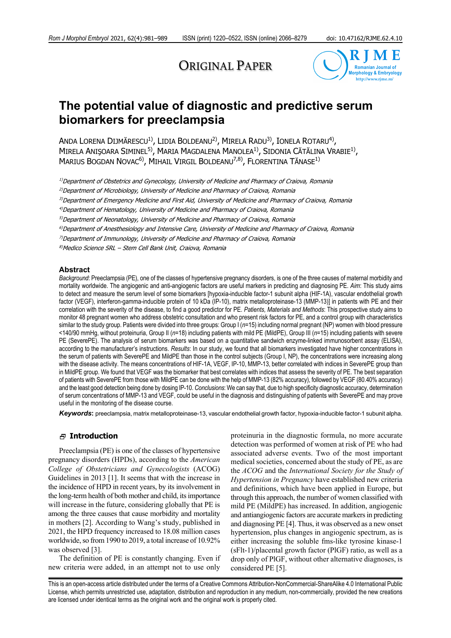# ORIGINAL PAPER



## **The potential value of diagnostic and predictive serum biomarkers for preeclampsia**

ANDA LORENA DIJMĂRESCU<sup>1)</sup>, LIDIA BOLDEANU<sup>2)</sup>, MIRELA RADU<sup>3)</sup>, IONELA ROTARU<sup>4)</sup>, MIRELA ANIŞOARA SIMINEL<sup>5)</sup>, MARIA MAGDALENA MANOLEA<sup>1)</sup>, SIDONIA CĂTĂLINA VRABIE<sup>1)</sup>, MARIUS BOGDAN NOVAC<sup>6</sup>, MIHAIL VIRGIL BOLDEANU<sup>7,8</sup>, FLORENTINA TĂNASE<sup>1)</sup>

1)Department of Obstetrics and Gynecology, University of Medicine and Pharmacy of Craiova, Romania

<sup>2)</sup>Department of Microbiology, University of Medicine and Pharmacy of Craiova, Romania

3)Department of Emergency Medicine and First Aid, University of Medicine and Pharmacy of Craiova, Romania

4)Department of Hematology, University of Medicine and Pharmacy of Craiova, Romania

5)Department of Neonatology, University of Medicine and Pharmacy of Craiova, Romania

 $6$ Department of Anesthesiology and Intensive Care, University of Medicine and Pharmacy of Craiova, Romania

7)Department of Immunology, University of Medicine and Pharmacy of Craiova, Romania

8)Medico Science SRL – Stem Cell Bank Unit, Craiova, Romania

#### **Abstract**

*Background*: Preeclampsia (PE), one of the classes of hypertensive pregnancy disorders, is one of the three causes of maternal morbidity and mortality worldwide. The angiogenic and anti-angiogenic factors are useful markers in predicting and diagnosing PE. *Aim*: This study aims to detect and measure the serum level of some biomarkers [hypoxia-inducible factor-1 subunit alpha (HIF-1A), vascular endothelial growth factor (VEGF), interferon-gamma-inducible protein of 10 kDa (IP-10), matrix metalloproteinase-13 (MMP-13)] in patients with PE and their correlation with the severity of the disease, to find a good predictor for PE. *Patients, Materials and Methods*: This prospective study aims to monitor 48 pregnant women who address obstetric consultation and who present risk factors for PE, and a control group with characteristics similar to the study group. Patients were divided into three groups: Group I (*n*=15) including normal pregnant (NP) women with blood pressure <140/90 mmHg, without proteinuria, Group II (*n*=18) including patients with mild PE (MildPE), Group III (*n*=15) including patients with severe PE (SeverePE). The analysis of serum biomarkers was based on a quantitative sandwich enzyme-linked immunosorbent assay (ELISA), according to the manufacturer's instructions. *Results*: In our study, we found that all biomarkers investigated have higher concentrations in the serum of patients with SeverePE and MildPE than those in the control subjects (Group I, NP), the concentrations were increasing along with the disease activity. The means concentrations of HIF-1A, VEGF, IP-10, MMP-13, better correlated with indices in SeverePE group than in MildPE group. We found that VEGF was the biomarker that best correlates with indices that assess the severity of PE. The best separation of patients with SeverePE from those with MildPE can be done with the help of MMP-13 (82% accuracy), followed by VEGF (80.40% accuracy) and the least good detection being done by dosing IP-10. *Conclusions*: We can say that, due to high specificity diagnostic accuracy, determination of serum concentrations of MMP-13 and VEGF, could be useful in the diagnosis and distinguishing of patients with SeverePE and may prove useful in the monitoring of the disease course.

*Keywords***:** preeclampsia, matrix metalloproteinase-13, vascular endothelial growth factor, hypoxia-inducible factor-1 subunit alpha.

#### **Introduction**

Preeclampsia (PE) is one of the classes of hypertensive pregnancy disorders (HPDs), according to the *American College of Obstetricians and Gynecologists* (ACOG) Guidelines in 2013 [1]. It seems that with the increase in the incidence of HPD in recent years, by its involvement in the long-term health of both mother and child, its importance will increase in the future, considering globally that PE is among the three causes that cause morbidity and mortality in mothers [2]. According to Wang's study, published in 2021, the HPD frequency increased to 18.08 million cases worldwide, so from 1990 to 2019, a total increase of 10.92% was observed [3].

The definition of PE is constantly changing. Even if new criteria were added, in an attempt not to use only

proteinuria in the diagnostic formula, no more accurate detection was performed of women at risk of PE who had associated adverse events. Two of the most important medical societies, concerned about the study of PE, as are the *ACOG* and the *International Society for the Study of Hypertension in Pregnancy* have established new criteria and definitions, which have been applied in Europe, but through this approach, the number of women classified with mild PE (MildPE) has increased. In addition, angiogenic and antiangiogenic factors are accurate markers in predicting and diagnosing PE [4]. Thus, it was observed as a new onset hypertension, plus changes in angiogenic spectrum, as is either increasing the soluble fms-like tyrosine kinase-1 (sFlt-1)/placental growth factor (PlGF) ratio, as well as a drop only of PlGF, without other alternative diagnoses, is considered PE [5].

This is an open-access article distributed under the terms of a Creative Commons Attribution-NonCommercial-ShareAlike 4.0 International Public License, which permits unrestricted use, adaptation, distribution and reproduction in any medium, non-commercially, provided the new creations are licensed under identical terms as the original work and the original work is properly cited.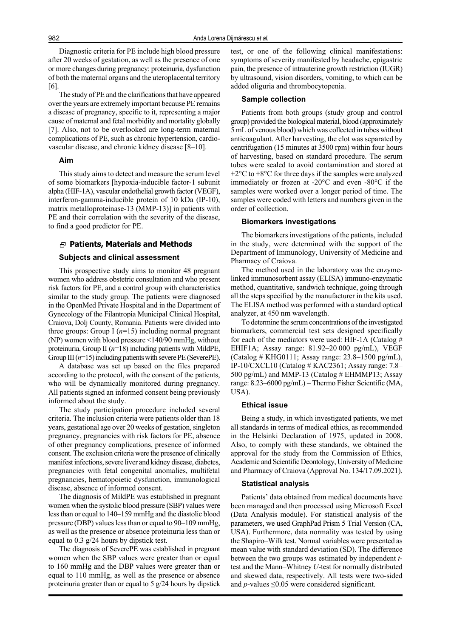Diagnostic criteria for PE include high blood pressure after 20 weeks of gestation, as well as the presence of one or more changes during pregnancy: proteinuria, dysfunction of both the maternal organs and the uteroplacental territory [6].

The study of PE and the clarifications that have appeared over the years are extremely important because PE remains a disease of pregnancy, specific to it, representing a major cause of maternal and fetal morbidity and mortality globally [7]. Also, not to be overlooked are long-term maternal complications of PE, such as chronic hypertension, cardiovascular disease, and chronic kidney disease [8–10].

#### **Aim**

This study aims to detect and measure the serum level of some biomarkers [hypoxia-inducible factor-1 subunit alpha (HIF-1A), vascular endothelial growth factor (VEGF), interferon-gamma-inducible protein of 10 kDa (IP-10), matrix metalloproteinase-13 (MMP-13)] in patients with PE and their correlation with the severity of the disease, to find a good predictor for PE.

## **Patients, Materials and Methods**

#### **Subjects and clinical assessment**

This prospective study aims to monitor 48 pregnant women who address obstetric consultation and who present risk factors for PE, and a control group with characteristics similar to the study group. The patients were diagnosed in the OpenMed Private Hospital and in the Department of Gynecology of the Filantropia Municipal Clinical Hospital, Craiova, Dolj County, Romania. Patients were divided into three groups: Group I  $(n=15)$  including normal pregnant (NP) women with blood pressure <140/90 mmHg, without proteinuria, Group II (*n*=18) including patients with MildPE, Group III ( $n=15$ ) including patients with severe PE (SeverePE).

A database was set up based on the files prepared according to the protocol, with the consent of the patients, who will be dynamically monitored during pregnancy. All patients signed an informed consent being previously informed about the study.

The study participation procedure included several criteria. The inclusion criteria were patients older than 18 years, gestational age over 20 weeks of gestation, singleton pregnancy, pregnancies with risk factors for PE, absence of other pregnancy complications, presence of informed consent. The exclusion criteria were the presence of clinically manifest infections, severe liver and kidney disease, diabetes, pregnancies with fetal congenital anomalies, multifetal pregnancies, hematopoietic dysfunction, immunological disease, absence of informed consent.

The diagnosis of MildPE was established in pregnant women when the systolic blood pressure (SBP) values were less than or equal to 140–159 mmHg and the diastolic blood pressure (DBP) values less than or equal to 90–109 mmHg, as well as the presence or absence proteinuria less than or equal to 0.3 g/24 hours by dipstick test.

The diagnosis of SeverePE was established in pregnant women when the SBP values were greater than or equal to 160 mmHg and the DBP values were greater than or equal to 110 mmHg, as well as the presence or absence proteinuria greater than or equal to 5 g/24 hours by dipstick test, or one of the following clinical manifestations: symptoms of severity manifested by headache, epigastric pain, the presence of intrauterine growth restriction (IUGR) by ultrasound, vision disorders, vomiting, to which can be added oliguria and thrombocytopenia.

## **Sample collection**

Patients from both groups (study group and control group) provided the biological material, blood (approximately 5 mL of venous blood) which was collected in tubes without anticoagulant. After harvesting, the clot was separated by centrifugation (15 minutes at 3500 rpm) within four hours of harvesting, based on standard procedure. The serum tubes were sealed to avoid contamination and stored at  $+2$ °C to  $+8$ °C for three days if the samples were analyzed immediately or frozen at -20°C and even -80°C if the samples were worked over a longer period of time. The samples were coded with letters and numbers given in the order of collection.

#### **Biomarkers investigations**

The biomarkers investigations of the patients, included in the study, were determined with the support of the Department of Immunology, University of Medicine and Pharmacy of Craiova.

The method used in the laboratory was the enzymelinked immunosorbent assay (ELISA) immuno-enzymatic method, quantitative, sandwich technique, going through all the steps specified by the manufacturer in the kits used. The ELISA method was performed with a standard optical analyzer, at 450 nm wavelength.

To determine the serum concentrations of the investigated biomarkers, commercial test sets designed specifically for each of the mediators were used: HIF-1A (Catalog # EHIF1A; Assay range: 81.92–20 000 pg/mL), VEGF (Catalog # KHG0111; Assay range: 23.8–1500 pg/mL), IP-10/CXCL10 (Catalog # KAC2361; Assay range: 7.8– 500 pg/mL) and MMP-13 (Catalog # EHMMP13; Assay range: 8.23–6000 pg/mL) – Thermo Fisher Scientific (MA, USA).

#### **Ethical issue**

Being a study, in which investigated patients, we met all standards in terms of medical ethics, as recommended in the Helsinki Declaration of 1975, updated in 2008. Also, to comply with these standards, we obtained the approval for the study from the Commission of Ethics, Academic and Scientific Deontology, University of Medicine and Pharmacy of Craiova (Approval No. 134/17.09.2021).

#### **Statistical analysis**

Patients' data obtained from medical documents have been managed and then processed using Microsoft Excel (Data Analysis module). For statistical analysis of the parameters, we used GraphPad Prism 5 Trial Version (CA, USA). Furthermore, data normality was tested by using the Shapiro–Wilk test. Normal variables were presented as mean value with standard deviation (SD). The difference between the two groups was estimated by independent *t*test and the Mann–Whitney *U*-test for normally distributed and skewed data, respectively. All tests were two-sided and  $p$ -values  $\leq 0.05$  were considered significant.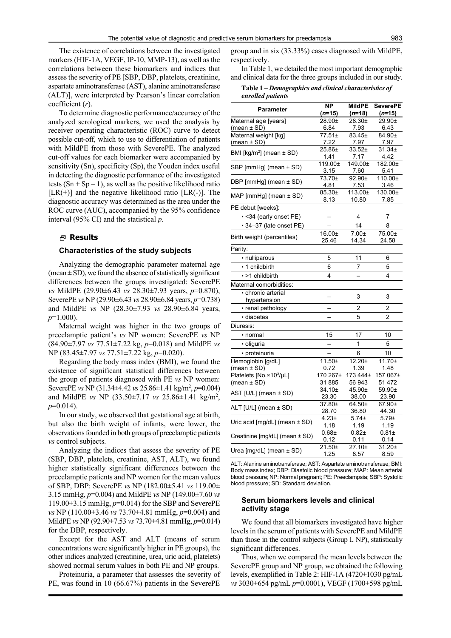The existence of correlations between the investigated markers (HIF-1A, VEGF, IP-10, MMP-13), as well as the correlations between these biomarkers and indices that assess the severity of PE [SBP, DBP, platelets, creatinine, aspartate aminotransferase (AST), alanine aminotransferase (ALT)], were interpreted by Pearson's linear correlation coefficient (*r*).

To determine diagnostic performance/accuracy of the analyzed serological markers, we used the analysis by receiver operating characteristic (ROC) curve to detect possible cut-off, which to use to differentiation of patients with MildPE from those with SeverePE. The analyzed cut-off values for each biomarker were accompanied by sensitivity (Sn), specificity (Sp), the Youden index useful in detecting the diagnostic performance of the investigated tests  $(Sn + Sp - 1)$ , as well as the positive likelihood ratio  $[LR(+)]$  and the negative likelihood ratio  $[LR(-)]$ . The diagnostic accuracy was determined as the area under the ROC curve (AUC), accompanied by the 95% confidence interval (95% CI) and the statistical *p*.

## **Results**

#### **Characteristics of the study subjects**

Analyzing the demographic parameter maternal age (mean  $\pm$  SD), we found the absence of statistically significant differences between the groups investigated: SeverePE *vs* MildPE (29.90±6.43 *vs* 28.30±7.93 years, *p*=0.870), SeverePE *vs* NP (29.90±6.43 *vs* 28.90±6.84 years, *p*=0.738) and MildPE *vs* NP (28.30±7.93 *vs* 28.90±6.84 years, *p*=1.000).

Maternal weight was higher in the two groups of preeclamptic patient's *vs* NP women: SeverePE *vs* NP (84.90±7.97 *vs* 77.51±7.22 kg, *p*=0.018) and MildPE *vs* NP (83.45±7.97 *vs* 77.51±7.22 kg, *p*=0.020).

Regarding the body mass index (BMI), we found the existence of significant statistical differences between the group of patients diagnosed with PE *vs* NP women: SeverePE *vs* NP (31.34±4.42 *vs* 25.86±1.41 kg/m<sup>2</sup>, p=0.004) and MildPE *vs* NP (33.50±7.17 *vs* 25.86±1.41 kg/m2 , *p*=0.014).

In our study, we observed that gestational age at birth, but also the birth weight of infants, were lower, the observations founded in both groups of preeclamptic patients *vs* control subjects.

Analyzing the indices that assess the severity of PE (SBP, DBP, platelets, creatinine, AST, ALT), we found higher statistically significant differences between the preeclamptic patients and NP women for the mean values of SBP, DBP: SeverePE *vs* NP (182.00±5.41 *vs* 119.00± 3.15 mmHg, *p*=0.004) and MildPE *vs* NP (149.00±7.60 *vs* 119.00±3.15 mmHg, *p*=0.014) for the SBP and SeverePE *vs* NP (110.00±3.46 *vs* 73.70±4.81 mmHg, *p*=0.004) and MildPE *vs* NP (92.90±7.53 *vs* 73.70±4.81 mmHg, *p*=0.014) for the DBP, respectively.

Except for the AST and ALT (means of serum concentrations were significantly higher in PE groups), the other indices analyzed (creatinine, urea, uric acid, platelets) showed normal serum values in both PE and NP groups.

Proteinuria, a parameter that assesses the severity of PE, was found in 10 (66.67%) patients in the SeverePE group and in six (33.33%) cases diagnosed with MildPE, respectively.

In Table 1, we detailed the most important demographic and clinical data for the three groups included in our study.

| Table 1 – Demographics and clinical characteristics of |  |
|--------------------------------------------------------|--|
| enrolled patients                                      |  |

|                                          | <b>NP</b>         | <b>MildPE</b>  | <b>SeverePE</b> |
|------------------------------------------|-------------------|----------------|-----------------|
| Parameter                                | $(n=15)$          | $(n=18)$       | $(n=15)$        |
| Maternal age [years]                     | 28.90±            | 28.30±         | 29.90±          |
| (mean ± SD)                              | 6.84              | 7.93           | 6.43            |
| Maternal weight [kg]                     | 77.51±            | 83.45±         | 84.90±          |
| (mean ± SD)                              | 7.22              | 7.97           | 7.97            |
| BMI [kg/m <sup>2</sup> ] (mean $\pm$ SD) | 25.86±            | 33.52±         | 31.34±          |
|                                          | 1.41              | 7.17           | 4.42            |
| SBP [mmHg] (mean ± SD)                   | 119.00±           | 149.00±        | 182.00±         |
|                                          | 3.15              | 7.60           | 5.41            |
| DBP [mmHg] (mean ± SD)                   | 73.70±            | 92.90±         | $110.00 \pm$    |
|                                          | 4.81              | 7.53           | 3.46            |
| MAP [mmHg] (mean ± SD)                   | 85.30±            | 113.00±        | 130.00±         |
|                                          | 8.13              | 10.80          | 7.85            |
| PE debut [weeks]:                        |                   |                |                 |
| -< 34 (early onset PE)                   |                   | 4              | 7               |
| - 34-37 (late onset PE)                  |                   | 14             | 8               |
|                                          | $16.00 \pm$       | $7.00+$        | 75.00±          |
| Birth weight (percentiles)               | 25.46             | 14.34          | 24.58           |
| Parity:                                  |                   |                |                 |
| · nulliparous                            | 5                 | 11             | 6               |
| • 1 childbirth                           | 6                 | 7              | 5               |
| • >1 childbirth                          | 4                 | $\overline{a}$ | 4               |
| Maternal comorbidities:                  |                   |                |                 |
| chronic arterial                         |                   |                |                 |
| hypertension                             |                   | 3              | 3               |
| • renal pathology                        |                   | 2              | $\overline{c}$  |
| diabetes                                 |                   | 5              |                 |
|                                          |                   |                | 2               |
| Diuresis:                                |                   |                |                 |
| • normal                                 | 15                | 17             | 10              |
| · oliguria                               |                   | 1              | 5               |
| · proteinuria                            |                   | 6              | 10              |
| Hemoglobin [g/dL]                        | $11.50 +$         | $12.20 +$      | $11.70+$        |
| (mean $\pm$ SD)                          | 0.72              | 1.39           | 1.48            |
| Platelets [No. × 103/µL]                 | 170 267±          | 173 444±       | 157 067±        |
| (mean ± SD)                              | 31 885            | 56 943         | 51 472          |
| AST [U/L] (mean ± SD)                    | 34.10±            | 45.90±         | 59.90±          |
|                                          | 23.30             | 38.00          | 23.90           |
| ALT [U/L] (mean ± SD)                    | 37.80±            | 64.50±         | 67.90±          |
|                                          | 28.70             | 36.80          | 44.30           |
| Uric acid $[mg/dL]$ (mean $\pm$ SD)      | 4.23 <sub>±</sub> | $5.74 +$       | $5.79\pm$       |
|                                          | 1.18              | 1.19           | 1.19            |
| Creatinine [mg/dL] (mean ± SD)           | $0.68 +$          | $0.82 +$       | $0.81 +$        |
|                                          | 0.12<br>21.50±    | 0.11<br>27.10± | 0.14<br>31.20±  |
| Urea $[mg/dL]$ (mean $\pm$ SD)           | 1.25              | 8.57           | 8.59            |
|                                          |                   |                |                 |

ALT: Alanine aminotransferase; AST: Aspartate aminotransferase; BMI: Body mass index; DBP: Diastolic blood pressure; MAP: Mean arterial blood pressure; NP: Normal pregnant; PE: Preeclampsia; SBP: Systolic blood pressure; SD: Standard deviation.

## **Serum biomarkers levels and clinical activity stage**

We found that all biomarkers investigated have higher levels in the serum of patients with SeverePE and MildPE than those in the control subjects (Group I, NP), statistically significant differences.

Thus, when we compared the mean levels between the SeverePE group and NP group, we obtained the following levels, exemplified in Table 2: HIF-1A (4720±1030 pg/mL *vs* 3030±654 pg/mL *p*=0.0001), VEGF (1700±598 pg/mL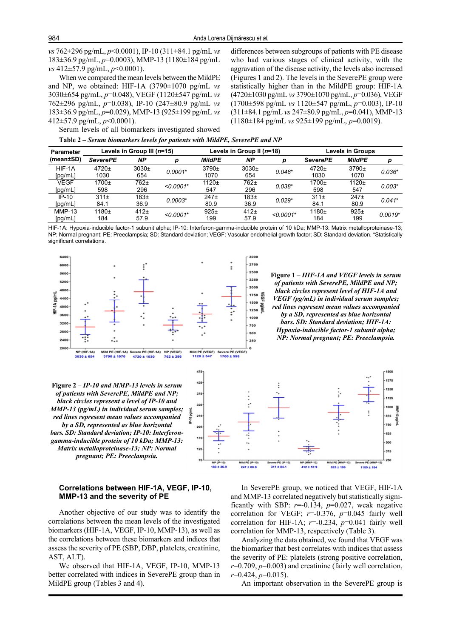*vs* 762±296 pg/mL, *p*<0.0001), IP-10 (311±84.1 pg/mL *vs* 183±36.9 pg/mL, *p*=0.0003), MMP-13 (1180±184 pg/mL *vs* 412±57.9 pg/mL, *p*<0.0001).

When we compared the mean levels between the MildPE and NP, we obtained: HIF-1A (3790±1070 pg/mL *vs* 3030±654 pg/mL, *p*=0.048), VEGF (1120±547 pg/mL *vs* 762±296 pg/mL, *p*=0.038), IP-10 (247±80.9 pg/mL *vs* 183±36.9 pg/mL, *p*=0.029), MMP-13 (925±199 pg/mL *vs* 412±57.9 pg/mL, *p*<0.0001).

differences between subgroups of patients with PE disease who had various stages of clinical activity, with the aggravation of the disease activity, the levels also increased (Figures 1 and 2). The levels in the SeverePE group were statistically higher than in the MildPE group: HIF-1A (4720±1030 pg/mL *vs* 3790±1070 pg/mL, *p*=0.036), VEGF (1700±598 pg/mL *vs* 1120±547 pg/mL, *p*=0.003), IP-10 (311±84.1 pg/mL *vs* 247±80.9 pg/mL, *p*=0.041), MMP-13 (1180±184 pg/mL *vs* 925±199 pg/mL, *p*=0.0019).

Serum levels of all biomarkers investigated showed

| Table 2 – Serum biomarkers levels for patients with MildPE, SeverePE and NP |  |  |  |
|-----------------------------------------------------------------------------|--|--|--|
|                                                                             |  |  |  |

| <b>Parameter</b>    | Levels in Group III (n=15) |                          |             | Levels in Group II (n=18) |                          |             | <b>Levels in Groups</b>  |                          |           |
|---------------------|----------------------------|--------------------------|-------------|---------------------------|--------------------------|-------------|--------------------------|--------------------------|-----------|
| (mean±SD)           | <b>SeverePE</b>            | ΝP                       | n           | <b>MildPE</b>             | <b>NP</b>                | D           | <b>SeverePE</b>          | <b>MildPE</b>            | р         |
| HIF-1A<br>[pg/mL]   | $4720 +$<br>1030           | 3030 <sub>±</sub><br>654 | $0.0001*$   | $3790+$<br>1070           | 3030 <sub>±</sub><br>654 | $0.048*$    | $4720+$<br>1030          | $3790+$<br>1070          | $0.036*$  |
| VEGF<br>[pg/mL]     | $1700 +$<br>598            | 762±<br>296              | $< 0.0001*$ | $1120+$<br>547            | 762±<br>296              | $0.038*$    | $1700+$<br>598           | $1120+$<br>547           | $0.003*$  |
| $IP-10$<br>[pg/mL]  | 311 <sub>±</sub><br>84.1   | 183 <sub>±</sub><br>36.9 | $0.0003*$   | 247 <sub>±</sub><br>80.9  | 183 <sub>±</sub><br>36.9 | $0.029*$    | 311 <sub>±</sub><br>84.1 | 247 <sub>±</sub><br>80.9 | $0.041*$  |
| $MMP-13$<br>[pg/mL] | $1180+$<br>184             | 412 <sub>±</sub><br>57.9 | $< 0.0001*$ | 925±<br>199               | 412 <sub>±</sub><br>57.9 | $< 0.0001*$ | 1180 <sub>±</sub><br>184 | 925±<br>199              | $0.0019*$ |

HIF-1A: Hypoxia-inducible factor-1 subunit alpha; IP-10: Interferon-gamma-inducible protein of 10 kDa; MMP-13: Matrix metalloproteinase-13; NP: Normal pregnant; PE: Preeclampsia; SD: Standard deviation; VEGF: Vascular endothelial growth factor; SD: Standard deviation. \*Statistically significant correlations.

47



**Figure 1 –** *HIF-1A and VEGF levels in serum of patients with SeverePE, MildPE and NP; black circles represent level of HIF-1A and VEGF (pg/mL) in individual serum samples; red lines represent mean values accompanied by a SD, represented as blue horizontal bars. SD: Standard deviation; HIF-1A:* 

*Hypoxia-inducible factor-1 subunit alpha; NP: Normal pregnant; PE: Preeclampsia.*

250



**Figure 2 –** *IP-10 and MMP-13 levels in serum of patients with SeverePE, MildPE and NP; black circles represent a level of IP-10 and MMP-13 (pg/mL) in individual serum samples; red lines represent mean values accompanied by a SD, represented as blue horizontal bars. SD: Standard deviation; IP-10: Interferongamma-inducible protein of 10 kDa; MMP-13: Matrix metalloproteinase-13; NP: Normal pregnant; PE: Preeclampsia.*

## **Correlations between HIF-1A, VEGF, IP-10, MMP-13 and the severity of PE**

Another objective of our study was to identify the correlations between the mean levels of the investigated biomarkers (HIF-1A, VEGF, IP-10, MMP-13), as well as the correlations between these biomarkers and indices that assess the severity of PE (SBP, DBP, platelets, creatinine, AST, ALT).

We observed that HIF-1A, VEGF, IP-10, MMP-13 better correlated with indices in SeverePE group than in MildPE group (Tables 3 and 4).

In SeverePE group, we noticed that VEGF, HIF-1A and MMP-13 correlated negatively but statistically significantly with SBP:  $r=0.134$ ,  $p=0.027$ , weak negative correlation for VEGF; *r*=-0.376, *p*=0.045 fairly well correlation for HIF-1A; *r*=-0.234, *p*=0.041 fairly well correlation for MMP-13, respectively (Table 3).

Analyzing the data obtained, we found that VEGF was the biomarker that best correlates with indices that assess the severity of PE: platelets (strong positive correlation,  $r=0.709, p=0.003$ ) and creatinine (fairly well correlation, *r*=0.424, *p*=0.015).

An important observation in the SeverePE group is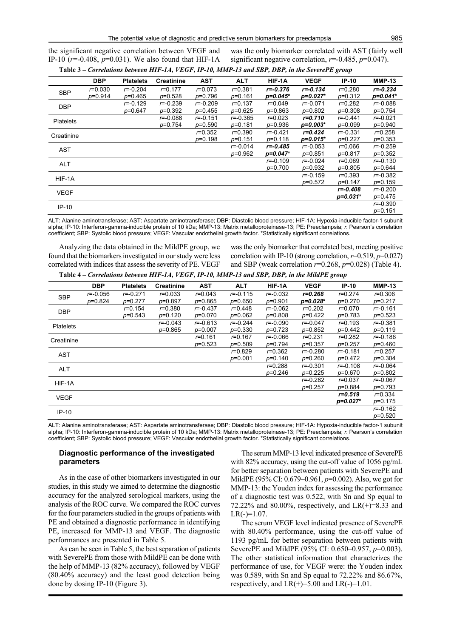the significant negative correlation between VEGF and IP-10 (*r*=-0.408, *p*=0.031). We also found that HIF-1A

was the only biomarker correlated with AST (fairly well significant negative correlation, *r*=-0.485, *p*=0.047).

|                  | <b>DBP</b>  | <b>Platelets</b> | <b>Creatinine</b> | <b>AST</b>   | <b>ALT</b>   | HIF-1A       | <b>VEGF</b>  | $IP-10$          | <b>MMP-13</b> |
|------------------|-------------|------------------|-------------------|--------------|--------------|--------------|--------------|------------------|---------------|
| <b>SBP</b>       | $r = 0.030$ | $r = -0.204$     | $r = 0.177$       | $r = 0.073$  | $r = 0.381$  | $r = -0.376$ | $r = -0.134$ | $r = 0.280$      | $r = -0.234$  |
|                  | $p=0.914$   | $p=0.465$        | $p=0.528$         | $p=0.796$    | $p=0.161$    | $p=0.045*$   | $p=0.027*$   | $p=0.312$        | $p=0.041*$    |
| <b>DBP</b>       |             | $r = -0.129$     | $r = -0.239$      | $r = -0.209$ | $r = 0.137$  | $r = 0.049$  | $r = -0.071$ | $r = 0.282$      | $r = -0.088$  |
|                  |             | p=0.647          | $p=0.392$         | $p=0.455$    | $p=0.625$    | $p=0.863$    | $p=0.802$    | $p=0.308$        | $p=0.754$     |
| <b>Platelets</b> |             |                  | $r = -0.088$      | $r = -0.151$ | $r = -0.365$ | $r = 0.023$  | $r = 0.710$  | $r = -0.441$     | $r = -0.021$  |
|                  |             |                  | p=0.754           | $p=0.590$    | $p=0.181$    | p=0.936      | $p=0.003*$   | $p=0.099$        | $p=0.940$     |
| Creatinine       |             |                  |                   | $r = 0.352$  | $r = 0.390$  | $r = -0.421$ | $r = 0.424$  | <i>r</i> =-0.331 | $r = 0.258$   |
|                  |             |                  |                   | $p=0.198$    | $p=0.151$    | $p=0.118$    | $p=0.015*$   | $p=0.227$        | $p=0.353$     |
| <b>AST</b>       |             |                  |                   |              | $r = -0.014$ | $r = 0.485$  | $r = -0.053$ | $r = 0.066$      | $r = -0.259$  |
|                  |             |                  |                   |              | $p=0.962$    | $p=0.047*$   | $p=0.851$    | $p=0.817$        | $p=0.352$     |
| <b>ALT</b>       |             |                  |                   |              |              | $r = -0.109$ | $r = -0.024$ | $r = 0.069$      | $r = -0.130$  |
|                  |             |                  |                   |              |              | $p=0.700$    | $p=0.932$    | $p=0.805$        | $p=0.644$     |
| HIF-1A           |             |                  |                   |              |              |              | $r = -0.159$ | $r = 0.393$      | $r = -0.382$  |
|                  |             |                  |                   |              |              |              | $p=0.572$    | $p=0.147$        | $p=0.159$     |
| <b>VEGF</b>      |             |                  |                   |              |              |              |              | $r = -0.408$     | $r = -0.200$  |
|                  |             |                  |                   |              |              |              |              | p=0.031*         | $p=0.475$     |
| $IP-10$          |             |                  |                   |              |              |              |              |                  | $r = -0.390$  |
|                  |             |                  |                   |              |              |              |              |                  | $p=0.151$     |
|                  |             |                  |                   |              |              |              |              |                  |               |

**Table 3 –** *Correlations between HIF-1A, VEGF, IP-10, MMP-13 and SBP, DBP, in the SeverePE group*

ALT: Alanine aminotransferase; AST: Aspartate aminotransferase; DBP: Diastolic blood pressure; HIF-1A: Hypoxia-inducible factor-1 subunit alpha; IP-10: Interferon-gamma-inducible protein of 10 kDa; MMP-13: Matrix metalloproteinase-13; PE: Preeclampsia; *r*: Pearson's correlation coefficient; SBP: Systolic blood pressure; VEGF: Vascular endothelial growth factor. \*Statistically significant correlations.

Analyzing the data obtained in the MildPE group, we found that the biomarkers investigated in our study were less correlated with indices that assess the severity of PE. VEGF

was the only biomarker that correlated best, meeting positive correlation with IP-10 (strong correlation,  $r=0.519$ ,  $p=0.027$ ) and SBP (weak correlation *r*=0.268, *p*=0.028) (Table 4).

**Table 4 –** *Correlations between HIF-1A, VEGF, IP-10, MMP-13 and SBP, DBP, in the MildPE group*

|                  | <b>DBP</b>       | <b>Platelets</b> | <b>Creatinine</b> | <b>AST</b>   | <b>ALT</b>   | HIF-1A           | <b>VEGF</b>  | $IP-10$      | <b>MMP-13</b> |
|------------------|------------------|------------------|-------------------|--------------|--------------|------------------|--------------|--------------|---------------|
| <b>SBP</b>       | <i>r</i> =-0.056 | $r = -0.271$     | $r = 0.033$       | $r = 0.043$  | $r = -0.115$ | $r = -0.032$     | $r = 0.268$  | $r = 0.274$  | $r = 0.306$   |
|                  | $p=0.824$        | $p=0.277$        | $p=0.897$         | p=0.865      | $p=0.650$    | $p=0.901$        | p=0.028*     | p=0.270      | $p=0.217$     |
| <b>DBP</b>       |                  | $r = 0.154$      | $r = 0.380$       | $r = -0.437$ | $r = 0.448$  | $r = -0.062$     | $r = 0.202$  | $r = 0.070$  | $r = -0.161$  |
|                  |                  | $p=0.543$        | $p=0.120$         | p=0.070      | $p=0.062$    | $p=0.808$        | $p=0.422$    | p=0.783      | $p=0.523$     |
| <b>Platelets</b> |                  |                  | $r = -0.043$      | $r = -0.613$ | $r = -0.244$ | $r = -0.090$     | $r = -0.047$ | $r = 0.193$  | $r = -0.381$  |
|                  |                  |                  | $p=0.865$         | $p=0.007$    | $p=0.330$    | $p=0.723$        | $p=0.852$    | $p=0.442$    | $p=0.119$     |
| Creatinine       |                  |                  |                   | $r = 0.161$  | $r = 0.167$  | <i>r</i> =-0.066 | $r = 0.231$  | $r = 0.282$  | $r = -0.186$  |
|                  |                  |                  |                   | $p=0.523$    | $p=0.509$    | p=0.794          | $p=0.357$    | $p=0.257$    | $p=0.460$     |
| <b>AST</b>       |                  |                  |                   |              | $r = 0.829$  | $r = 0.362$      | $r = -0.280$ | $r = -0.181$ | $r = 0.257$   |
|                  |                  |                  |                   |              | $p=0.001$    | $p=0.140$        | $p=0.260$    | $p=0.472$    | $p=0.304$     |
| <b>ALT</b>       |                  |                  |                   |              |              | $r = 0.288$      | $r = -0.301$ | $r = -0.108$ | $r = -0.064$  |
|                  |                  |                  |                   |              |              | $p=0.246$        | $p=0.225$    | $p=0.670$    | $p=0.802$     |
| HIF-1A           |                  |                  |                   |              |              |                  | $r = -0.282$ | $r = 0.037$  | $r = -0.067$  |
|                  |                  |                  |                   |              |              |                  | $p=0.257$    | p=0.884      | $p=0.793$     |
| <b>VEGF</b>      |                  |                  |                   |              |              |                  |              | $r = 0.519$  | $r = 0.334$   |
|                  |                  |                  |                   |              |              |                  |              | p=0.027*     | $p=0.175$     |
| $IP-10$          |                  |                  |                   |              |              |                  |              |              | $r = -0.162$  |
|                  |                  |                  |                   |              |              |                  |              |              | $p=0.520$     |
|                  |                  |                  |                   |              |              |                  |              |              |               |

ALT: Alanine aminotransferase; AST: Aspartate aminotransferase; DBP: Diastolic blood pressure; HIF-1A: Hypoxia-inducible factor-1 subunit alpha; IP-10: Interferon-gamma-inducible protein of 10 kDa; MMP-13: Matrix metalloproteinase-13; PE: Preeclampsia; *r*: Pearson's correlation coefficient; SBP: Systolic blood pressure; VEGF: Vascular endothelial growth factor. \*Statistically significant correlations.

## **Diagnostic performance of the investigated parameters**

As in the case of other biomarkers investigated in our studies, in this study we aimed to determine the diagnostic accuracy for the analyzed serological markers, using the analysis of the ROC curve. We compared the ROC curves for the four parameters studied in the groups of patients with PE and obtained a diagnostic performance in identifying PE, increased for MMP-13 and VEGF. The diagnostic performances are presented in Table 5.

As can be seen in Table 5, the best separation of patients with SeverePE from those with MildPE can be done with the help of MMP-13 (82% accuracy), followed by VEGF (80.40% accuracy) and the least good detection being done by dosing IP-10 (Figure 3).

The serum MMP-13 level indicated presence of SeverePE with 82% accuracy, using the cut-off value of 1056 pg/mL for better separation between patients with SeverePE and MildPE (95% CI: 0.679–0.961, *p*=0.002). Also, we got for MMP-13: the Youden index for assessing the performance of a diagnostic test was 0.522, with Sn and Sp equal to 72.22% and 80.00%, respectively, and  $LR(+) = 8.33$  and  $LR(-)=1.07$ .

The serum VEGF level indicated presence of SeverePE with 80.40% performance, using the cut-off value of 1193 pg/mL for better separation between patients with SeverePE and MildPE (95% CI: 0.650–0.957, *p*=0.003). The other statistical information that characterizes the performance of use, for VEGF were: the Youden index was 0.589, with Sn and Sp equal to 72.22% and 86.67%, respectively, and  $LR(+) = 5.00$  and  $LR(-)=1.01$ .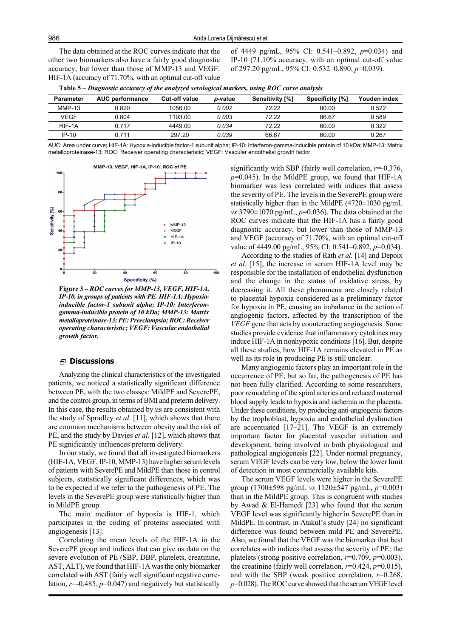The data obtained at the ROC curves indicate that the other two biomarkers also have a fairly good diagnostic accuracy, but lower than those of MMP-13 and VEGF: HIF-1A (accuracy of 71.70%, with an optimal cut-off value of 4449 pg/mL, 95% CI: 0.541–0.892, *p*=0.034) and IP-10 (71.10% accuracy, with an optimal cut-off value of 297.20 pg/mL, 95% CI: 0.532–0.890, *p*=0.039).

| Parameter | <b>AUC performance</b> | <b>Cut-off value</b> | <i>p</i> -value | Sensitivity [%] | Specificity [%] | Youden index |
|-----------|------------------------|----------------------|-----------------|-----------------|-----------------|--------------|
| $MMP-13$  | 0.820                  | 1056.00              | 0.002           | 72.22           | 80.00           | 0.522        |
| VEGF      | 0.804                  | 1193.00              | 0.003           | 72.22           | 86.67           | 0.589        |
| HIF-1A    | 0 717                  | 4449.00              | 0.034           | 72.22           | 60.00           | 0.322        |
| $IP-10$   | 0 711                  | 297.20               | 0.039           | 66.67           | 60.00           | 0.267        |

**Table 5 –** *Diagnostic accuracy of the analyzed serological markers, using ROC curve analysis*

AUC: Area under curve; HIF-1A: Hypoxia-inducible factor-1 subunit alpha; IP-10: Interferon-gamma-inducible protein of 10 kDa; MMP-13: Matrix metalloproteinase-13; ROC: Receiver operating characteristic; VEGF: Vascular endothelial growth factor.



**Figure 3 –** *ROC curves for MMP-13, VEGF, HIF-1A, IP-10, in groups of patients with PE. HIF-1A: Hypoxiainducible factor-1 subunit alpha; IP-10: Interferongamma-inducible protein of 10 kDa; MMP-13: Matrix metalloproteinase-13; PE: Preeclampsia; ROC: Receiver operating characteristic; VEGF: Vascular endothelial growth factor.*

## **Discussions**

Analyzing the clinical characteristics of the investigated patients, we noticed a statistically significant difference between PE, with the two classes: MildPE and SeverePE, and the control group, in terms of BMI and preterm delivery. In this case, the results obtained by us are consistent with the study of Spradley *et al.* [11], which shows that there are common mechanisms between obesity and the risk of PE, and the study by Davies *et al.* [12], which shows that PE significantly influences preterm delivery.

In our study, we found that all investigated biomarkers (HIF-1A, VEGF, IP-10, MMP-13) have higher serum levels of patients with SeverePE and MildPE than those in control subjects, statistically significant differences, which was to be expected if we refer to the pathogenesis of PE. The levels in the SeverePE group were statistically higher than in MildPE group.

The main mediator of hypoxia is HIF-1, which participates in the coding of proteins associated with angiogenesis [13].

Correlating the mean levels of the HIF-1A in the SeverePE group and indices that can give us data on the severe evolution of PE (SBP, DBP, platelets, creatinine, AST, ALT), we found that HIF-1A was the only biomarker correlated with AST (fairly well significant negative correlation, *r*=-0.485, *p*=0.047) and negatively but statistically significantly with SBP (fairly well correlation, *r*=-0.376,  $p=0.045$ ). In the MildPE group, we found that HIF-1A biomarker was less correlated with indices that assess the severity of PE. The levels in the SeverePE group were statistically higher than in the MildPE (4720±1030 pg/mL *vs* 3790±1070 pg/mL, *p*=0.036). The data obtained at the ROC curves indicate that the HIF-1A has a fairly good diagnostic accuracy, but lower than those of MMP-13 and VEGF (accuracy of 71.70%, with an optimal cut-off value of 4449.00 pg/mL, 95% CI: 0.541–0.892, *p*=0.034).

According to the studies of Rath *et al.* [14] and Depoix *et al.* [15], the increase in serum HIF-1A level may be responsible for the installation of endothelial dysfunction and the change in the status of oxidative stress, by decreasing it. All these phenomena are closely related to placental hypoxia considered as a preliminary factor for hypoxia in PE, causing an imbalance in the action of angiogenic factors, affected by the transcription of the *VEGF* gene that acts by counteracting angiogenesis. Some studies provide evidence that inflammatory cytokines may induce HIF-1A in nonhypoxic conditions [16]. But, despite all these studies, how HIF-1A remains elevated in PE as well as its role in producing PE is still unclear.

Many angiogenic factors play an important role in the occurrence of PE, but so far, the pathogenesis of PE has not been fully clarified. According to some researchers, poor remodeling of the spiral arteries and reduced maternal blood supply leads to hypoxia and ischemia in the placenta. Under these conditions, by producing anti-angiogenic factors by the trophoblast, hypoxia and endothelial dysfunction are accentuated [17–21]. The VEGF is an extremely important factor for placental vascular initiation and development, being involved in both physiological and pathological angiogenesis [22]. Under normal pregnancy, serum VEGF levels can be very low, below the lower limit of detection in most commercially available kits.

The serum VEGF levels were higher in the SeverePE group (1700±598 pg/mL *vs* 1120±547 pg/mL, *p*=0.003) than in the MildPE group. This is congruent with studies by Awad & El-Hamedi [23] who found that the serum VEGF level was significantly higher in SeverePE than in MildPE. In contrast, in Atakul's study [24] no significant difference was found between mild PE and SeverePE. Also, we found that the VEGF was the biomarker that best correlates with indices that assess the severity of PE: the platelets (strong positive correlation, *r*=0.709, *p*=0.003), the creatinine (fairly well correlation, *r*=0.424, *p*=0.015), and with the SBP (weak positive correlation, *r*=0.268, *p*=0.028). The ROC curve showed that the serum VEGF level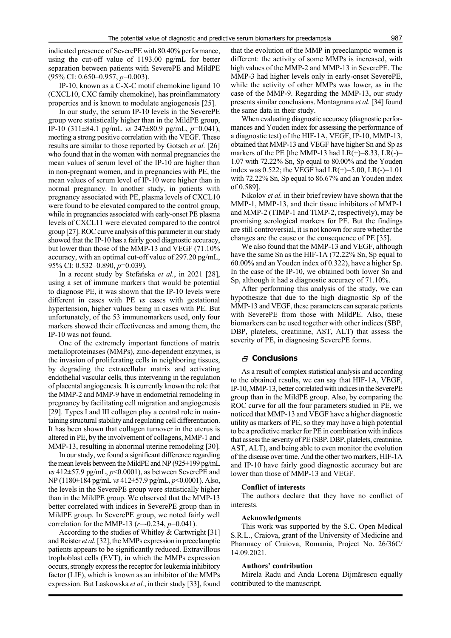indicated presence of SeverePE with 80.40% performance, using the cut-off value of 1193.00 pg/mL for better separation between patients with SeverePE and MildPE (95% CI: 0.650–0.957, *p*=0.003).

IP-10, known as a C-X-C motif chemokine ligand 10 (CXCL10, CXC family chemokine), has proinflammatory properties and is known to modulate angiogenesis [25].

In our study, the serum IP-10 levels in the SeverePE group were statistically higher than in the MildPE group, IP-10 (311±84.1 pg/mL *vs* 247±80.9 pg/mL, *p*=0.041), meeting a strong positive correlation with the VEGF. These results are similar to those reported by Gotsch *et al.* [26] who found that in the women with normal pregnancies the mean values of serum level of the IP-10 are higher than in non-pregnant women, and in pregnancies with PE, the mean values of serum level of IP-10 were higher than in normal pregnancy. In another study, in patients with pregnancy associated with PE, plasma levels of CXCL10 were found to be elevated compared to the control group, while in pregnancies associated with early-onset PE plasma levels of CXCL11 were elevated compared to the control group [27]. ROC curve analysis of this parameter in our study showed that the IP-10 has a fairly good diagnostic accuracy, but lower than those of the MMP-13 and VEGF (71.10% accuracy, with an optimal cut-off value of 297.20 pg/mL, 95% CI: 0.532–0.890, *p*=0.039).

In a recent study by Stefańska *et al.*, in 2021 [28], using a set of immune markers that would be potential to diagnose PE, it was shown that the IP-10 levels were different in cases with PE *vs* cases with gestational hypertension, higher values being in cases with PE. But unfortunately, of the 53 immunomarkers used, only four markers showed their effectiveness and among them, the IP-10 was not found.

One of the extremely important functions of matrix metalloproteinases (MMPs), zinc-dependent enzymes, is the invasion of proliferating cells in neighboring tissues, by degrading the extracellular matrix and activating endothelial vascular cells, thus intervening in the regulation of placental angiogenesis. It is currently known the role that the MMP-2 and MMP-9 have in endometrial remodeling in pregnancy by facilitating cell migration and angiogenesis [29]. Types I and III collagen play a central role in maintaining structural stability and regulating cell differentiation. It has been shown that collagen turnover in the uterus is altered in PE, by the involvement of collagens, MMP-1 and MMP-13, resulting in abnormal uterine remodeling [30].

In our study, we found a significant difference regarding the mean levels between the MildPE and NP (925±199 pg/mL *vs* 412±57.9 pg/mL, *p*<0.0001), as between SeverePE and NP (1180±184 pg/mL *vs* 412±57.9 pg/mL, *p*<0.0001). Also, the levels in the SeverePE group were statistically higher than in the MildPE group. We observed that the MMP-13 better correlated with indices in SeverePE group than in MildPE group. In SeverePE group, we noted fairly well correlation for the MMP-13 (*r*=-0.234, *p*=0.041).

According to the studies of Whitley & Cartwright [31] and Reister *et al.* [32], the MMPs expression in preeclamptic patients appears to be significantly reduced. Extravillous trophoblast cells (EVT), in which the MMPs expression occurs, strongly express the receptor for leukemia inhibitory factor (LIF), which is known as an inhibitor of the MMPs expression. But Laskowska *et al.*, in their study [33], found

that the evolution of the MMP in preeclamptic women is different: the activity of some MMPs is increased, with high values of the MMP-2 and MMP-13 in SeverePE. The MMP-3 had higher levels only in early-onset SeverePE, while the activity of other MMPs was lower, as in the case of the MMP-9. Regarding the MMP-13, our study presents similar conclusions. Montagnana *et al.* [34] found the same data in their study.

When evaluating diagnostic accuracy (diagnostic performances and Youden index for assessing the performance of a diagnostic test) of the HIF-1A, VEGF, IP-10, MMP-13, obtained that MMP-13 and VEGF have higher Sn and Sp as markers of the PE [the MMP-13 had  $LR(+) = 8.33, LR(-) =$ 1.07 with 72.22% Sn, Sp equal to 80.00% and the Youden index was 0.522; the VEGF had  $LR(+)=5.00, LR(-)=1.01$ with 72.22% Sn, Sp equal to 86.67% and an Youden index of 0.589].

Nikolov *et al.* in their brief review have shown that the MMP-1, MMP-13, and their tissue inhibitors of MMP-1 and MMP-2 (TIMP-1 and TIMP-2, respectively), may be promising serological markers for PE. But the findings are still controversial, it is not known for sure whether the changes are the cause or the consequence of PE [35].

We also found that the MMP-13 and VEGF, although have the same Sn as the HIF-1A (72.22% Sn, Sp equal to 60.00% and an Youden index of 0.322), have a higher Sp. In the case of the IP-10, we obtained both lower Sn and Sp, although it had a diagnostic accuracy of 71.10%.

After performing this analysis of the study, we can hypothesize that due to the high diagnostic Sp of the MMP-13 and VEGF, these parameters can separate patients with SeverePE from those with MildPE. Also, these biomarkers can be used together with other indices (SBP, DBP, platelets, creatinine, AST, ALT) that assess the severity of PE, in diagnosing SeverePE forms.

#### **Conclusions**

As a result of complex statistical analysis and according to the obtained results, we can say that HIF-1A, VEGF, IP-10, MMP-13, better correlated with indices in the SeverePE group than in the MildPE group. Also, by comparing the ROC curve for all the four parameters studied in PE, we noticed that MMP-13 and VEGF have a higher diagnostic utility as markers of PE, so they may have a high potential to be a predictive marker for PE in combination with indices that assess the severity of PE (SBP, DBP, platelets, creatinine, AST, ALT), and being able to even monitor the evolution of the disease over time. And the other two markers, HIF-1A and IP-10 have fairly good diagnostic accuracy but are lower than those of MMP-13 and VEGF.

#### **Conflict of interests**

The authors declare that they have no conflict of interests.

#### **Acknowledgments**

This work was supported by the S.C. Open Medical S.R.L., Craiova, grant of the University of Medicine and Pharmacy of Craiova, Romania, Project No. 26/36C/ 14.09.2021.

#### **Authors' contribution**

Mirela Radu and Anda Lorena Dijmărescu equally contributed to the manuscript.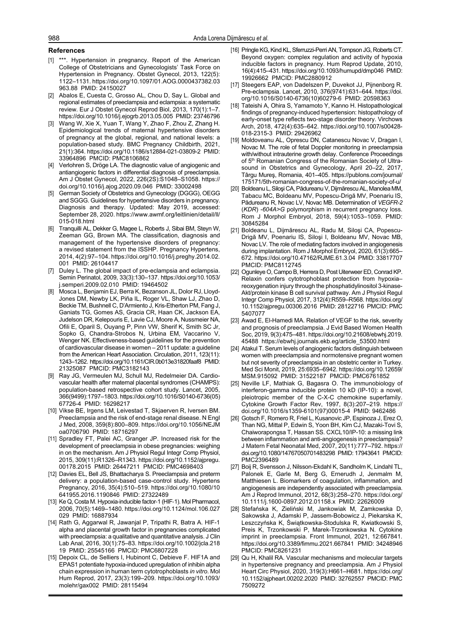#### **References**

- [1] \*\*\*. Hypertension in pregnancy. Report of the American College of Obstetricians and Gynecologists' Task Force on Hypertension in Pregnancy. Obstet Gynecol, 2013, 122(5): 1122–1131. https://doi.org/10.1097/01.AOG.0000437382.03 963.88 PMID: 24150027
- [2] Abalos E, Cuesta C, Grosso AL, Chou D, Say L. Global and regional estimates of preeclampsia and eclampsia: a systematic review. Eur J Obstet Gynecol Reprod Biol, 2013, 170(1):1–7. https://doi.org/10.1016/j.ejogrb.2013.05.005 PMID: 23746796
- Wang W, Xie X, Yuan T, Wang Y, Zhao F, Zhou Z, Zhang H. Epidemiological trends of maternal hypertensive disorders of pregnancy at the global, regional, and national levels: a population-based study. BMC Pregnancy Childbirth, 2021, 21(1):364. https://doi.org/10.1186/s12884-021-03809-2 PMID: 33964896 PMCID: PMC8106862
- Verlohren S, Dröge LA. The diagnostic value of angiogenic and antiangiogenic factors in differential diagnosis of preeclampsia. Am J Obstet Gynecol, 2022, 226(2S):S1048–S1058. https:// doi.org/10.1016/j.ajog.2020.09.046 PMID: 33002498
- [5] German Society of Obstetrics and Gynecology (DGGG), OEGG and SGGG. Guidelines for hypertensive disorders in pregnancy. Diagnosis and therapy. Updated: May 2019, accessed: September 28, 2020. https://www.awmf.org/leitlinien/detail/ll/ 015-018.html
- [6] Tranquilli AL, Dekker G, Magee L, Roberts J, Sibai BM, Steyn W, Zeeman GG, Brown MA. The classification, diagnosis and management of the hypertensive disorders of pregnancy: a revised statement from the ISSHP. Pregnancy Hypertens, 2014, 4(2):97–104. https://doi.org/10.1016/j.preghy.2014.02. 001 PMID: 26104417
- [7] Duley L. The global impact of pre-eclampsia and eclampsia. Semin Perinatol, 2009, 33(3):130–137. https://doi.org/10.1053/ j.semperi.2009.02.010 PMID: 19464502
- [8] Mosca L, Benjamin EJ, Berra K, Bezanson JL, Dolor RJ, Lloyd-Jones DM, Newby LK, Piña IL, Roger VL, Shaw LJ, Zhao D, Beckie TM, Bushnell C, D'Armiento J, Kris-Etherton PM, Fang J, Ganiats TG, Gomes AS, Gracia CR, Haan CK, Jackson EA, Judelson DR, Kelepouris E, Lavie CJ, Moore A, Nussmeier NA, Ofili E, Oparil S, Ouyang P, Pinn VW, Sherif K, Smith SC Jr, Sopko G, Chandra-Strobos N, Urbina EM, Vaccarino V, Wenger NK. Effectiveness-based guidelines for the prevention of cardiovascular disease in women – 2011 update: a guideline from the American Heart Association. Circulation, 2011, 123(11): 1243–1262. https://doi.org/10.1161/CIR.0b013e31820faaf8 PMID: 21325087 PMCID: PMC3182143
- [9] Ray JG, Vermeulen MJ, Schull MJ, Redelmeier DA. Cardiovascular health after maternal placental syndromes (CHAMPS): population-based retrospective cohort study. Lancet, 2005, 366(9499):1797–1803. https://doi.org/10.1016/S0140-6736(05) 67726-4 PMID: 16298217
- [10] Vikse BE, Irgens LM, Leivestad T, Skjaerven R, Iversen BM. Preeclampsia and the risk of end-stage renal disease. N Engl J Med, 2008, 359(8):800–809. https://doi.org/10.1056/NEJM oa0706790 PMID: 18716297
- [11] Spradley FT, Palei AC, Granger JP. Increased risk for the development of preeclampsia in obese pregnancies: weighing in on the mechanism. Am J Physiol Regul Integr Comp Physiol, 2015, 309(11):R1326–R1343. https://doi.org/10.1152/ajpregu. 00178.2015 PMID: 26447211 PMCID: PMC4698403
- [12] Davies EL, Bell JS, Bhattacharya S. Preeclampsia and preterm delivery: a population-based case-control study. Hypertens Pregnancy, 2016, 35(4):510–519. https://doi.org/10.1080/10 641955.2016.1190846 PMID: 27322489
- [13] Ke Q, Costa M. Hypoxia-inducible factor-1 (HIF-1). Mol Pharmacol, 2006, 70(5):1469–1480. https://doi.org/10.1124/mol.106.027 029 PMID: 16887934
- [14] Rath G, Aggarwal R, Jawanjal P, Tripathi R, Batra A. HIF-1 alpha and placental growth factor in pregnancies complicated with preeclampsia: a qualitative and quantitative analysis. J Clin Lab Anal, 2016, 30(1):75–83. https://doi.org/10.1002/jcla.218 19 PMID: 25545166 PMCID: PMC6807228
- [15] Depoix CL, de Selliers I, Hubinont C, Debieve F. HIF1A and EPAS1 potentiate hypoxia-induced upregulation of inhibin alpha chain expression in human term cytotrophoblasts *in vitro*. Mol Hum Reprod, 2017, 23(3):199–209. https://doi.org/10.1093/ molehr/gax002 PMID: 28115494
- [16] Pringle KG, Kind KL, Sferruzzi-Perri AN, Tompson JG, Roberts CT. Beyond oxygen: complex regulation and activity of hypoxia inducible factors in pregnancy. Hum Reprod Update, 2010, 16(4):415–431. https://doi.org/10.1093/humupd/dmp046 PMID: 19926662 PMCID: PMC2880912
- [17] Steegers EAP, von Dadelszen P, Duvekot JJ, Pijnenborg R. Pre-eclampsia. Lancet, 2010, 376(9741):631–644. https://doi. org/10.1016/S0140-6736(10)60279-6 PMID: 20598363
- [18] Tateishi A, Ohira S, Yamamoto Y, Kanno H. Histopathological findings of pregnancy-induced hypertension: histopathology of early-onset type reflects two-stage disorder theory. Virchows Arch, 2018, 472(4):635–642. https://doi.org/10.1007/s00428- 018-2315-3 PMID: 29426962
- [19] Moldoveanu AL, Oprescu DN, Catanescu Novac V, Dragan I, Novac M. The role of fetal Doppler monitoring in preeclampsia with/without intrauterine growth delay. Conference Proceedings of 5<sup>th</sup> Romanian Congress of the Romanian Society of Ultrasound in Obstetrics and Gynecology, April 20–22, 2017, Târgu Mureş, Romania, 401–405. https://publons.com/journal/ 175171/5th-romanian-congress-of-the-romanian-society-of-u/
- [20] Boldeanu L, Siloşi CA, Pădureanu V, Dijmărescu AL, Manolea MM, Tabacu MC, Boldeanu MV, Popescu-Drigă MV, Poenariu IS, Pădureanu R, Novac LV, Novac MB. Determination of *VEGFR-2* (*KDR*) *-604A>G* polymorphism in recurrent pregnancy loss. Rom J Morphol Embryol, 2018, 59(4):1053–1059. PMID: 30845284
- [21] Boldeanu L, Dijmărescu AL, Radu M, Siloşi CA, Popescu-Drigă MV, Poenariu IS, Siloşi I, Boldeanu MV, Novac MB, Novac LV. The role of mediating factors involved in angiogenesis during implantation. Rom J Morphol Embryol, 2020, 61(3):665– 672. https://doi.org/10.47162/RJME.61.3.04 PMID: 33817707 PMCID: PMC8112745
- [22] Ogunleye O, Campo B, Herrera D, Post Uiterweer ED, Conrad KP. Relaxin confers cytotrophoblast protection from hypoxia– reoxygenation injury through the phosphatidylinositol 3-kinase-Akt/protein kinase B cell survival pathway. Am J Physiol Regul Integr Comp Physiol, 2017, 312(4):R559–R568. https://doi.org/ 10.1152/ajpregu.00306.2016 PMID: 28122716 PMCID: PMC 5407077
- [23] Awad E, El-Hamedi MA. Relation of VEGF to the risk, severity and prognosis of preeclampsia. J Evid Based Women Health Soc, 2019, 9(3):475–481. https://doi.org/10.21608/ebwhj.2019. 45488 https://ebwhj.journals.ekb.eg/article\_53500.html
- [24] Atakul T. Serum levels of angiogenic factors distinguish between women with preeclampsia and normotensive pregnant women but not severity of preeclampsia in an obstetric center in Turkey. Med Sci Monit, 2019, 25:6935–6942. https://doi.org/10.12659/ MSM.915092 PMID: 31522187 PMCID: PMC6761852
- [25] Neville LF, Mathiak G, Bagasra O. The immunobiology of interferon-gamma inducible protein 10 kD (IP-10): a novel, pleiotropic member of the C-X-C chemokine superfamily. Cytokine Growth Factor Rev, 1997, 8(3):207–219. https:// doi.org/10.1016/s1359-6101(97)00015-4 PMID: 9462486
- [26] Gotsch F, Romero R, Friel L, Kusanovic JP, Espinoza J, Erez O, Than NG, Mittal P, Edwin S, Yoon BH, Kim CJ, Mazaki-Tovi S, Chaiworapongsa T, Hassan SS. CXCL10/IP-10: a missing link between inflammation and anti-angiogenesis in preeclampsia? J Matern Fetal Neonatal Med, 2007, 20(11):777–792. https:// doi.org/10.1080/14767050701483298 PMID: 17943641 PMCID: PMC2396489
- [27] Boij R, Svensson J, Nilsson-Ekdahl K, Sandholm K, Lindahl TL, Palonek E, Garle M, Berg G, Ernerudh J, Jenmalm M, Matthiesen L. Biomarkers of coagulation, inflammation, and angiogenesis are independently associated with preeclampsia. Am J Reprod Immunol, 2012, 68(3):258–270. https://doi.org/ 10.1111/j.1600-0897.2012.01158.x PMID: 22626009
- [28] Stefańska K, Zieliński M, Jankowiak M, Zamkowska D, Sakowska J, Adamski P, Jassem-Bobowicz J, Piekarska K, Leszczyńska K, Świątkowska-Stodulska R, Kwiatkowski S, Preis K, Trzonkowski P, Marek-Trzonkowska N. Cytokine imprint in preeclampsia. Front Immunol, 2021, 12:667841. https://doi.org/10.3389/fimmu.2021.667841 PMID: 34248946 PMCID: PMC8261231
- [29] Qu H, Khalil RA. Vascular mechanisms and molecular targets in hypertensive pregnancy and preeclampsia. Am J Physiol Heart Circ Physiol, 2020, 319(3):H661–H681. https://doi.org/ 10.1152/ajpheart.00202.2020 PMID: 32762557 PMCID: PMC 7509272